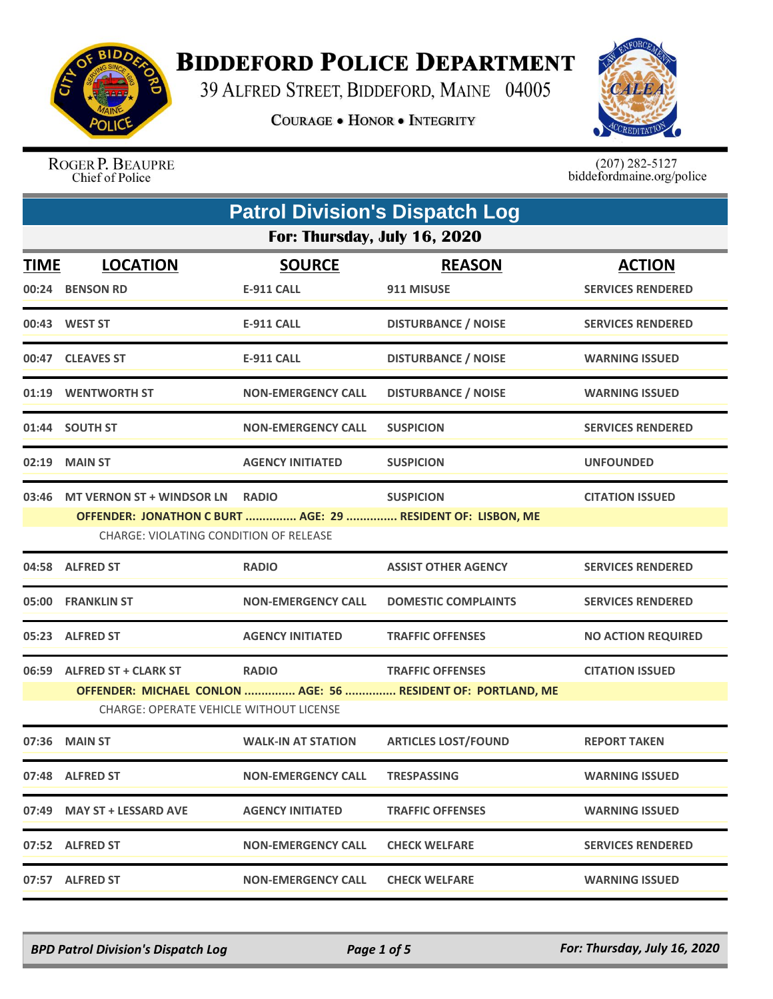

## **BIDDEFORD POLICE DEPARTMENT**

39 ALFRED STREET, BIDDEFORD, MAINE 04005

**COURAGE . HONOR . INTEGRITY** 



ROGER P. BEAUPRE Chief of Police

 $(207)$  282-5127<br>biddefordmaine.org/police

|             | <b>Patrol Division's Dispatch Log</b>                                     |                                    |                                                                                         |                                           |  |
|-------------|---------------------------------------------------------------------------|------------------------------------|-----------------------------------------------------------------------------------------|-------------------------------------------|--|
|             | For: Thursday, July 16, 2020                                              |                                    |                                                                                         |                                           |  |
| <b>TIME</b> | <b>LOCATION</b><br>00:24 BENSON RD                                        | <b>SOURCE</b><br><b>E-911 CALL</b> | <b>REASON</b><br>911 MISUSE                                                             | <b>ACTION</b><br><b>SERVICES RENDERED</b> |  |
|             | 00:43 WEST ST                                                             | <b>E-911 CALL</b>                  | <b>DISTURBANCE / NOISE</b>                                                              | <b>SERVICES RENDERED</b>                  |  |
|             | 00:47 CLEAVES ST                                                          | <b>E-911 CALL</b>                  | <b>DISTURBANCE / NOISE</b>                                                              | <b>WARNING ISSUED</b>                     |  |
|             | 01:19 WENTWORTH ST                                                        | <b>NON-EMERGENCY CALL</b>          | <b>DISTURBANCE / NOISE</b>                                                              | <b>WARNING ISSUED</b>                     |  |
|             | 01:44 SOUTH ST                                                            | <b>NON-EMERGENCY CALL</b>          | <b>SUSPICION</b>                                                                        | <b>SERVICES RENDERED</b>                  |  |
|             | 02:19 MAIN ST                                                             | <b>AGENCY INITIATED</b>            | <b>SUSPICION</b>                                                                        | <b>UNFOUNDED</b>                          |  |
|             | 03:46 MT VERNON ST + WINDSOR LN<br>CHARGE: VIOLATING CONDITION OF RELEASE | <b>RADIO</b>                       | <b>SUSPICION</b><br>OFFENDER: JONATHON C BURT  AGE: 29  RESIDENT OF: LISBON, ME         | <b>CITATION ISSUED</b>                    |  |
|             | 04:58 ALFRED ST                                                           | <b>RADIO</b>                       | <b>ASSIST OTHER AGENCY</b>                                                              | <b>SERVICES RENDERED</b>                  |  |
|             | 05:00 FRANKLIN ST                                                         | <b>NON-EMERGENCY CALL</b>          | <b>DOMESTIC COMPLAINTS</b>                                                              | <b>SERVICES RENDERED</b>                  |  |
|             | 05:23 ALFRED ST                                                           | <b>AGENCY INITIATED</b>            | <b>TRAFFIC OFFENSES</b>                                                                 | <b>NO ACTION REQUIRED</b>                 |  |
|             | 06:59 ALFRED ST + CLARK ST<br>CHARGE: OPERATE VEHICLE WITHOUT LICENSE     | <b>RADIO</b>                       | <b>TRAFFIC OFFENSES</b><br>OFFENDER: MICHAEL CONLON  AGE: 56  RESIDENT OF: PORTLAND, ME | <b>CITATION ISSUED</b>                    |  |
| 07:36       | <b>MAIN ST</b>                                                            | <b>WALK-IN AT STATION</b>          | <b>ARTICLES LOST/FOUND</b>                                                              | <b>REPORT TAKEN</b>                       |  |
|             | 07:48 ALFRED ST                                                           | <b>NON-EMERGENCY CALL</b>          | <b>TRESPASSING</b>                                                                      | <b>WARNING ISSUED</b>                     |  |
|             | 07:49 MAY ST + LESSARD AVE                                                | <b>AGENCY INITIATED</b>            | <b>TRAFFIC OFFENSES</b>                                                                 | <b>WARNING ISSUED</b>                     |  |
|             | 07:52 ALFRED ST                                                           | <b>NON-EMERGENCY CALL</b>          | <b>CHECK WELFARE</b>                                                                    | <b>SERVICES RENDERED</b>                  |  |
|             | 07:57 ALFRED ST                                                           | <b>NON-EMERGENCY CALL</b>          | <b>CHECK WELFARE</b>                                                                    | <b>WARNING ISSUED</b>                     |  |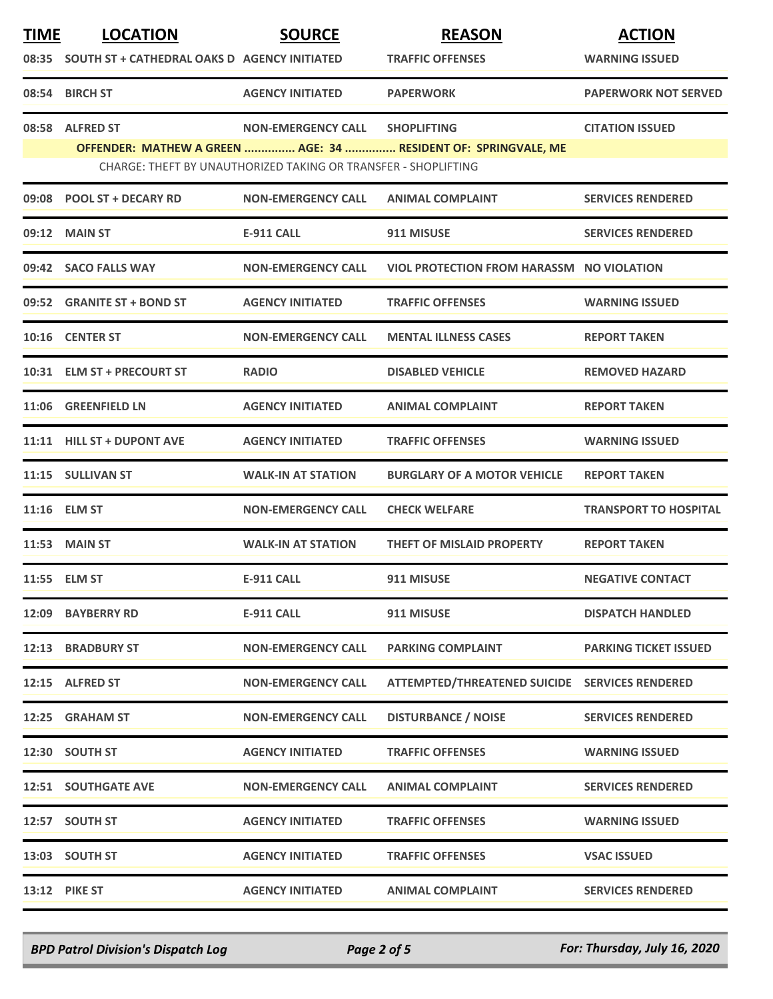| <b>TIME</b> | <b>LOCATION</b>                                    | <b>SOURCE</b>                                                  | <b>REASON</b>                                                  | <b>ACTION</b>                |
|-------------|----------------------------------------------------|----------------------------------------------------------------|----------------------------------------------------------------|------------------------------|
|             | 08:35 SOUTH ST + CATHEDRAL OAKS D AGENCY INITIATED |                                                                | <b>TRAFFIC OFFENSES</b>                                        | <b>WARNING ISSUED</b>        |
|             | 08:54 BIRCH ST                                     | <b>AGENCY INITIATED</b>                                        | <b>PAPERWORK</b>                                               | <b>PAPERWORK NOT SERVED</b>  |
| 08:58       | <b>ALFRED ST</b>                                   | <b>NON-EMERGENCY CALL</b>                                      | <b>SHOPLIFTING</b>                                             | <b>CITATION ISSUED</b>       |
|             |                                                    | CHARGE: THEFT BY UNAUTHORIZED TAKING OR TRANSFER - SHOPLIFTING | OFFENDER: MATHEW A GREEN  AGE: 34  RESIDENT OF: SPRINGVALE, ME |                              |
|             | 09:08 POOL ST + DECARY RD                          | <b>NON-EMERGENCY CALL</b>                                      | <b>ANIMAL COMPLAINT</b>                                        | <b>SERVICES RENDERED</b>     |
|             |                                                    |                                                                |                                                                |                              |
|             | 09:12 MAIN ST                                      | <b>E-911 CALL</b>                                              | 911 MISUSE                                                     | <b>SERVICES RENDERED</b>     |
|             | 09:42 SACO FALLS WAY                               | <b>NON-EMERGENCY CALL</b>                                      | VIOL PROTECTION FROM HARASSM NO VIOLATION                      |                              |
|             | 09:52 GRANITE ST + BOND ST                         | <b>AGENCY INITIATED</b>                                        | <b>TRAFFIC OFFENSES</b>                                        | <b>WARNING ISSUED</b>        |
|             | 10:16 CENTER ST                                    | <b>NON-EMERGENCY CALL</b>                                      | <b>MENTAL ILLNESS CASES</b>                                    | <b>REPORT TAKEN</b>          |
|             | 10:31 ELM ST + PRECOURT ST                         | <b>RADIO</b>                                                   | <b>DISABLED VEHICLE</b>                                        | <b>REMOVED HAZARD</b>        |
|             | 11:06 GREENFIELD LN                                | <b>AGENCY INITIATED</b>                                        | <b>ANIMAL COMPLAINT</b>                                        | <b>REPORT TAKEN</b>          |
|             | 11:11 HILL ST + DUPONT AVE                         | <b>AGENCY INITIATED</b>                                        | <b>TRAFFIC OFFENSES</b>                                        | <b>WARNING ISSUED</b>        |
|             | 11:15 SULLIVAN ST                                  | <b>WALK-IN AT STATION</b>                                      | <b>BURGLARY OF A MOTOR VEHICLE</b>                             | <b>REPORT TAKEN</b>          |
|             | 11:16 ELM ST                                       | <b>NON-EMERGENCY CALL</b>                                      | <b>CHECK WELFARE</b>                                           | <b>TRANSPORT TO HOSPITAL</b> |
|             | <b>11:53 MAIN ST</b>                               | <b>WALK-IN AT STATION</b>                                      | <b>THEFT OF MISLAID PROPERTY</b>                               | <b>REPORT TAKEN</b>          |
|             | 11:55 ELM ST                                       | <b>E-911 CALL</b>                                              | 911 MISUSE                                                     | <b>NEGATIVE CONTACT</b>      |
|             | <b>12:09 BAYBERRY RD</b>                           | <b>E-911 CALL</b>                                              | 911 MISUSE                                                     | <b>DISPATCH HANDLED</b>      |
|             | <b>12:13 BRADBURY ST</b>                           | <b>NON-EMERGENCY CALL</b>                                      | <b>PARKING COMPLAINT</b>                                       | <b>PARKING TICKET ISSUED</b> |
|             | 12:15 ALFRED ST                                    | <b>NON-EMERGENCY CALL</b>                                      | ATTEMPTED/THREATENED SUICIDE SERVICES RENDERED                 |                              |
|             | 12:25 GRAHAM ST                                    | <b>NON-EMERGENCY CALL</b>                                      | <b>DISTURBANCE / NOISE</b>                                     | <b>SERVICES RENDERED</b>     |
|             | 12:30 SOUTH ST                                     | <b>AGENCY INITIATED</b>                                        | <b>TRAFFIC OFFENSES</b>                                        | <b>WARNING ISSUED</b>        |
|             | <b>12:51 SOUTHGATE AVE</b>                         | <b>NON-EMERGENCY CALL</b>                                      | <b>ANIMAL COMPLAINT</b>                                        | <b>SERVICES RENDERED</b>     |
|             | 12:57 SOUTH ST                                     | <b>AGENCY INITIATED</b>                                        | <b>TRAFFIC OFFENSES</b>                                        | <b>WARNING ISSUED</b>        |
|             | 13:03 SOUTH ST                                     | <b>AGENCY INITIATED</b>                                        | <b>TRAFFIC OFFENSES</b>                                        | <b>VSAC ISSUED</b>           |
|             | <b>13:12 PIKE ST</b>                               | <b>AGENCY INITIATED</b>                                        | <b>ANIMAL COMPLAINT</b>                                        | <b>SERVICES RENDERED</b>     |

*BPD Patrol Division's Dispatch Log Page 2 of 5 For: Thursday, July 16, 2020*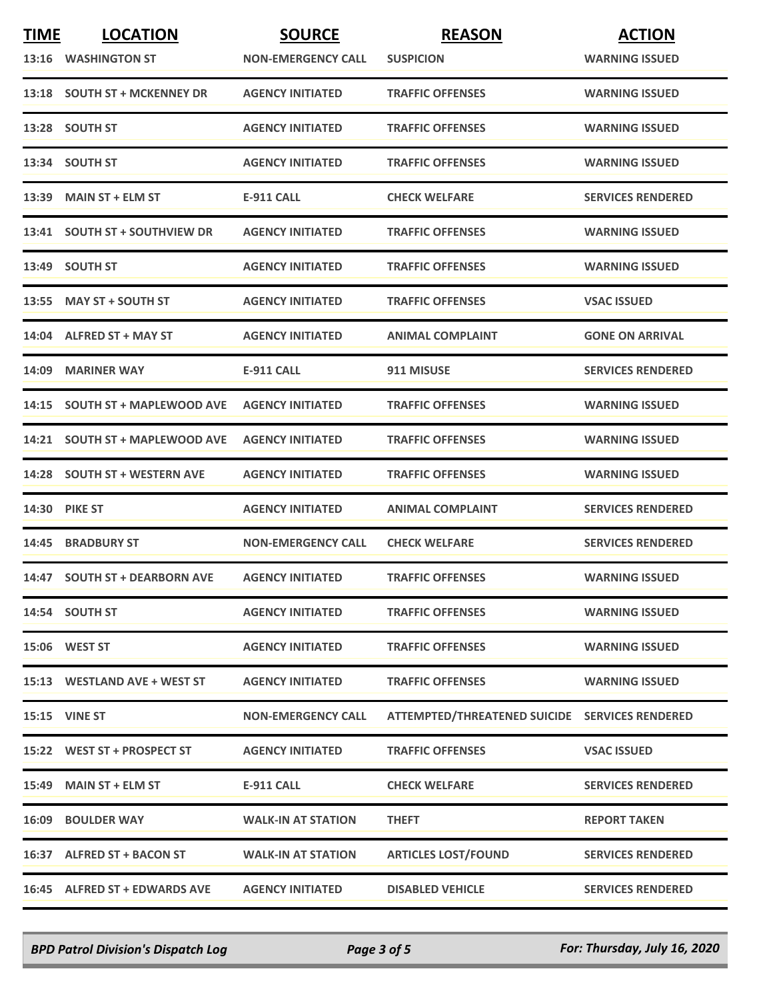| <b>TIME</b> | <b>LOCATION</b>                | <b>SOURCE</b>             | <b>REASON</b>                                  | <b>ACTION</b>            |
|-------------|--------------------------------|---------------------------|------------------------------------------------|--------------------------|
|             | 13:16 WASHINGTON ST            | <b>NON-EMERGENCY CALL</b> | <b>SUSPICION</b>                               | <b>WARNING ISSUED</b>    |
|             | 13:18 SOUTH ST + MCKENNEY DR   | <b>AGENCY INITIATED</b>   | <b>TRAFFIC OFFENSES</b>                        | <b>WARNING ISSUED</b>    |
|             | 13:28 SOUTH ST                 | <b>AGENCY INITIATED</b>   | <b>TRAFFIC OFFENSES</b>                        | <b>WARNING ISSUED</b>    |
|             | 13:34 SOUTH ST                 | <b>AGENCY INITIATED</b>   | <b>TRAFFIC OFFENSES</b>                        | <b>WARNING ISSUED</b>    |
| 13:39       | <b>MAIN ST + ELM ST</b>        | <b>E-911 CALL</b>         | <b>CHECK WELFARE</b>                           | <b>SERVICES RENDERED</b> |
|             | 13:41 SOUTH ST + SOUTHVIEW DR  | <b>AGENCY INITIATED</b>   | <b>TRAFFIC OFFENSES</b>                        | <b>WARNING ISSUED</b>    |
|             | 13:49 SOUTH ST                 | <b>AGENCY INITIATED</b>   | <b>TRAFFIC OFFENSES</b>                        | <b>WARNING ISSUED</b>    |
|             | 13:55 MAY ST + SOUTH ST        | <b>AGENCY INITIATED</b>   | <b>TRAFFIC OFFENSES</b>                        | <b>VSAC ISSUED</b>       |
|             | 14:04 ALFRED ST + MAY ST       | <b>AGENCY INITIATED</b>   | <b>ANIMAL COMPLAINT</b>                        | <b>GONE ON ARRIVAL</b>   |
| 14:09       | <b>MARINER WAY</b>             | <b>E-911 CALL</b>         | 911 MISUSE                                     | <b>SERVICES RENDERED</b> |
|             | 14:15 SOUTH ST + MAPLEWOOD AVE | <b>AGENCY INITIATED</b>   | <b>TRAFFIC OFFENSES</b>                        | <b>WARNING ISSUED</b>    |
|             | 14:21 SOUTH ST + MAPLEWOOD AVE | <b>AGENCY INITIATED</b>   | <b>TRAFFIC OFFENSES</b>                        | <b>WARNING ISSUED</b>    |
| 14:28       | <b>SOUTH ST + WESTERN AVE</b>  | <b>AGENCY INITIATED</b>   | <b>TRAFFIC OFFENSES</b>                        | <b>WARNING ISSUED</b>    |
|             | 14:30 PIKE ST                  | <b>AGENCY INITIATED</b>   | <b>ANIMAL COMPLAINT</b>                        | <b>SERVICES RENDERED</b> |
|             | 14:45 BRADBURY ST              | <b>NON-EMERGENCY CALL</b> | <b>CHECK WELFARE</b>                           | <b>SERVICES RENDERED</b> |
|             | 14:47 SOUTH ST + DEARBORN AVE  | <b>AGENCY INITIATED</b>   | <b>TRAFFIC OFFENSES</b>                        | <b>WARNING ISSUED</b>    |
|             | 14:54 SOUTH ST                 | <b>AGENCY INITIATED</b>   | <b>TRAFFIC OFFENSES</b>                        | <b>WARNING ISSUED</b>    |
|             | <b>15:06 WEST ST</b>           | <b>AGENCY INITIATED</b>   | <b>TRAFFIC OFFENSES</b>                        | <b>WARNING ISSUED</b>    |
|             | 15:13 WESTLAND AVE + WEST ST   | <b>AGENCY INITIATED</b>   | <b>TRAFFIC OFFENSES</b>                        | <b>WARNING ISSUED</b>    |
|             | <b>15:15 VINE ST</b>           | <b>NON-EMERGENCY CALL</b> | ATTEMPTED/THREATENED SUICIDE SERVICES RENDERED |                          |
|             | 15:22 WEST ST + PROSPECT ST    | <b>AGENCY INITIATED</b>   | <b>TRAFFIC OFFENSES</b>                        | <b>VSAC ISSUED</b>       |
|             | 15:49 MAIN ST + ELM ST         | <b>E-911 CALL</b>         | <b>CHECK WELFARE</b>                           | <b>SERVICES RENDERED</b> |
|             | <b>16:09 BOULDER WAY</b>       | <b>WALK-IN AT STATION</b> | <b>THEFT</b>                                   | <b>REPORT TAKEN</b>      |
|             | 16:37 ALFRED ST + BACON ST     | <b>WALK-IN AT STATION</b> | <b>ARTICLES LOST/FOUND</b>                     | <b>SERVICES RENDERED</b> |
|             | 16:45 ALFRED ST + EDWARDS AVE  | <b>AGENCY INITIATED</b>   | <b>DISABLED VEHICLE</b>                        | <b>SERVICES RENDERED</b> |

*BPD Patrol Division's Dispatch Log Page 3 of 5 For: Thursday, July 16, 2020*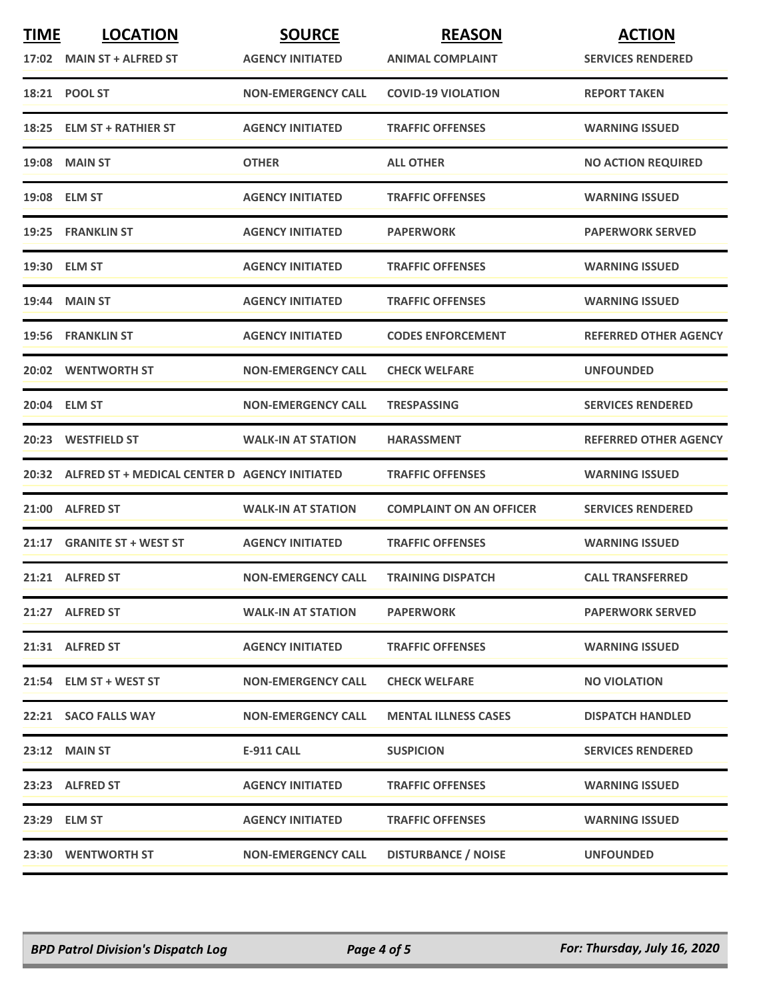| <b>TIME</b><br>17:02 | <b>LOCATION</b><br><b>MAIN ST + ALFRED ST</b>       | <b>SOURCE</b><br><b>AGENCY INITIATED</b> | <b>REASON</b><br><b>ANIMAL COMPLAINT</b> | <b>ACTION</b><br><b>SERVICES RENDERED</b> |
|----------------------|-----------------------------------------------------|------------------------------------------|------------------------------------------|-------------------------------------------|
|                      | 18:21 POOL ST                                       | <b>NON-EMERGENCY CALL</b>                | <b>COVID-19 VIOLATION</b>                | <b>REPORT TAKEN</b>                       |
| 18:25                | <b>ELM ST + RATHIER ST</b>                          | <b>AGENCY INITIATED</b>                  | <b>TRAFFIC OFFENSES</b>                  | <b>WARNING ISSUED</b>                     |
|                      | <b>19:08 MAIN ST</b>                                | <b>OTHER</b>                             | <b>ALL OTHER</b>                         | <b>NO ACTION REQUIRED</b>                 |
|                      | 19:08 ELM ST                                        | <b>AGENCY INITIATED</b>                  | <b>TRAFFIC OFFENSES</b>                  | <b>WARNING ISSUED</b>                     |
|                      | 19:25 FRANKLIN ST                                   | <b>AGENCY INITIATED</b>                  | <b>PAPERWORK</b>                         | <b>PAPERWORK SERVED</b>                   |
|                      | 19:30 ELM ST                                        | <b>AGENCY INITIATED</b>                  | <b>TRAFFIC OFFENSES</b>                  | <b>WARNING ISSUED</b>                     |
|                      | 19:44 MAIN ST                                       | <b>AGENCY INITIATED</b>                  | <b>TRAFFIC OFFENSES</b>                  | <b>WARNING ISSUED</b>                     |
|                      | 19:56 FRANKLIN ST                                   | <b>AGENCY INITIATED</b>                  | <b>CODES ENFORCEMENT</b>                 | <b>REFERRED OTHER AGENCY</b>              |
| 20:02                | <b>WENTWORTH ST</b>                                 | <b>NON-EMERGENCY CALL</b>                | <b>CHECK WELFARE</b>                     | <b>UNFOUNDED</b>                          |
|                      | 20:04 ELM ST                                        | <b>NON-EMERGENCY CALL</b>                | <b>TRESPASSING</b>                       | <b>SERVICES RENDERED</b>                  |
|                      | 20:23 WESTFIELD ST                                  | <b>WALK-IN AT STATION</b>                | <b>HARASSMENT</b>                        | <b>REFERRED OTHER AGENCY</b>              |
|                      | 20:32 ALFRED ST + MEDICAL CENTER D AGENCY INITIATED |                                          | <b>TRAFFIC OFFENSES</b>                  | <b>WARNING ISSUED</b>                     |
|                      | 21:00 ALFRED ST                                     | <b>WALK-IN AT STATION</b>                | <b>COMPLAINT ON AN OFFICER</b>           | <b>SERVICES RENDERED</b>                  |
| 21:17                | <b>GRANITE ST + WEST ST</b>                         | <b>AGENCY INITIATED</b>                  | <b>TRAFFIC OFFENSES</b>                  | <b>WARNING ISSUED</b>                     |
|                      | 21:21 ALFRED ST                                     | <b>NON-EMERGENCY CALL</b>                | <b>TRAINING DISPATCH</b>                 | <b>CALL TRANSFERRED</b>                   |
|                      | 21:27 ALFRED ST                                     | <b>WALK-IN AT STATION</b>                | <b>PAPERWORK</b>                         | <b>PAPERWORK SERVED</b>                   |
|                      | 21:31 ALFRED ST                                     | <b>AGENCY INITIATED</b>                  | <b>TRAFFIC OFFENSES</b>                  | <b>WARNING ISSUED</b>                     |
|                      | 21:54 ELM ST + WEST ST                              | NON-EMERGENCY CALL                       | <b>CHECK WELFARE</b>                     | <b>NO VIOLATION</b>                       |
|                      | 22:21 SACO FALLS WAY                                | <b>NON-EMERGENCY CALL</b>                | <b>MENTAL ILLNESS CASES</b>              | <b>DISPATCH HANDLED</b>                   |
|                      | 23:12 MAIN ST                                       | <b>E-911 CALL</b>                        | <b>SUSPICION</b>                         | <b>SERVICES RENDERED</b>                  |
|                      | 23:23 ALFRED ST                                     | <b>AGENCY INITIATED</b>                  | <b>TRAFFIC OFFENSES</b>                  | <b>WARNING ISSUED</b>                     |
|                      | 23:29 ELM ST                                        | <b>AGENCY INITIATED</b>                  | <b>TRAFFIC OFFENSES</b>                  | <b>WARNING ISSUED</b>                     |
|                      | 23:30 WENTWORTH ST                                  | <b>NON-EMERGENCY CALL</b>                | <b>DISTURBANCE / NOISE</b>               | <b>UNFOUNDED</b>                          |